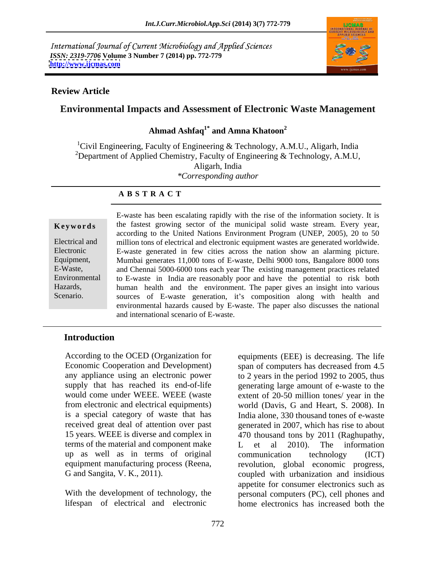International Journal of Current Microbiology and Applied Sciences *ISSN: 2319-7706* **Volume 3 Number 7 (2014) pp. 772-779 <http://www.ijcmas.com>**



### **Review Article**

# **Environmental Impacts and Assessment of Electronic Waste Management**

### **Ahmad Ashfaq1\* and Amna Khatoon<sup>2</sup>**

<sup>1</sup>Civil Engineering, Faculty of Engineering & Technology, A.M.U., Aligarh, India <sup>2</sup>Department of Applied Chemistry, Faculty of Engineering & Technology, A.M.U, Aligarh, India *\*Corresponding author* 

### **A B S T R A C T**

**Keywords** the fastest growing sector of the municipal solid waste stream. Every year, Electrical and million tons of electrical and electronic equipment wastes are generated worldwide. Electronic E-waste generated in few cities across the nation show an alarming picture. Equipment, Mumbai generates 11,000 tons of E-waste, Delhi 9000 tons, Bangalore 8000 tons E-Waste, and Chennai 5000-6000 tons each year The existing management practices related Environmental to E-waste in India are reasonably poor and have the potential to risk both Hazards, human health and the environment. The paper gives an insight into various Scenario. Sources of E-waste generation, it's composition along with health and E-waste has been escalating rapidly with the rise of the information society. It is according to the United Nations Environment Program (UNEP, 2005), 20 to 50 environmental hazards caused by E-waste. The paper also discusses the national and international scenario of E-waste.

# **Introduction**

According to the OCED (Organization for equipments (EEE) is decreasing. The life Economic Cooperation and Development) span of computers has decreased from 4.5 terms of the material and component make  $L$  et al 2010). The information up as well as in terms of original

lifespan of electrical and electronic home electronics has increased both the

any appliance using an electronic power to 2 years in the period 1992 to 2005, thus supply that has reached its end-of-life generating large amount of e-waste to the would come under WEEE. WEEE (waste extent of 20-50 million tones/ year in the from electronic and electrical equipments) world (Davis, G and Heart, S. 2008). In is a special category of waste that has India alone, 330 thousand tones of e-waste received great deal of attention over past generated in 2007, which has rise to about 15 years. WEEE is diverse and complex in 470 thousand tons by 2011 (Raghupathy, equipment manufacturing process (Reena, revolution, global economic progress, G and Sangita, V. K., 2011). coupled with urbanization and insidious With the development of technology, the personal computers (PC), cell phones and span of computers has decreased from 4.5 L et al 2010). The information communication technology (ICT) appetite for consumer electronics such as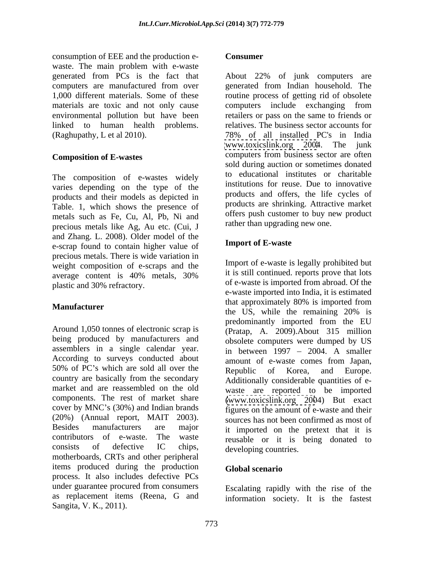consumption of EEE and the production e waste. The main problem with e-waste linked to human health problems. (Raghupathy, L et al 2010). 78% of all installed PC's in India

The composition of e-wastes widely varies depending on the type of the products and their models as depicted in Table. 1, which shows the presence of metals such as Fe, Cu, Al, Pb, Ni and precious metals like Ag, Au etc. (Cui, J and Zhang. L. 2008). Older model of the<br>a scrap found to contain higher value of **Import of E-waste** e-scrap found to contain higher value of precious metals. There is wide variation in weight composition of e-scraps and the average content is 40% metals, 30% and it is suit continued reports prove that lots plastic and 30% refractory.

Around 1,050 tonnes of electronic scrap is being produced by manufacturers and assemblers in a single calendar year. According to surveys conducted about amount of e-waste comes from Japan. 50% of PC's which are sold all over the Republic of Korea, and Europe. country are basically from the secondary market and are reassembled on the old components. The rest of market share [\(www.toxicslink.org](http://www.toxicslink.org) 2004) But exact cover by MNC's (30%) and Indian brands (20%) (Annual report, MAIT 2003). Besides manufacturers are major it imported on the pretext that it is contributors of e-waste. The waste reusable or it is being donated to consists of defective IC chips, developing countries motherboards, CRTs and other peripheral items produced during the production Global scenario process. It also includes defective PCs under guarantee procured from consumers execution Financially with the rise of the as replacement items (Reena, G and information society. It is the fastestSangita, V. K., 2011).

### **Consumer**

generated from PCs is the fact that About 22% of junk computers are computers are manufactured from over generated from Indian household. The 1,000 different materials. Some of these routine process of getting rid of obsolete materials are toxic and not only cause computers include exchanging from environmental pollution but have been retailers or pass on the same to friends or **Composition of E-wastes** computers from business sector are often relatives. The business sector accounts for 78% of all installed PC's in India [www.toxicslink.org](http://www.toxicslink.org) 2004. The junk sold during auction or sometimes donated to educational institutes or charitable institutions for reuse. Due to innovative products and offers, the life cycles of products are shrinking. Attractive market offers push customer to buy new product rather than upgrading new one.

# **Import of E-waste**

**Manufacturer** that approximately 80% is imported from<br>the US, while the remaining 20% is Import of e-waste is legally prohibited but it is still continued. reports prove that lots of e-waste is imported from abroad. Of the e-waste imported into India, it is estimated that approximately 80% is imported from the US, while the remaining 20% is predominantly imported from the EU (Pratap, A. 2009).About 315 million obsolete computers were dumped by US in between  $1997 - 2004$ . A smaller amount of e-waste comes from Japan, Republic of Korea, and Europe. Additionally considerable quantities of e waste are reported to be imported figures on the amount of e-waste and their sources has not been confirmed as most of developing countries.

## **Global scenario**

Escalating rapidly with the rise of the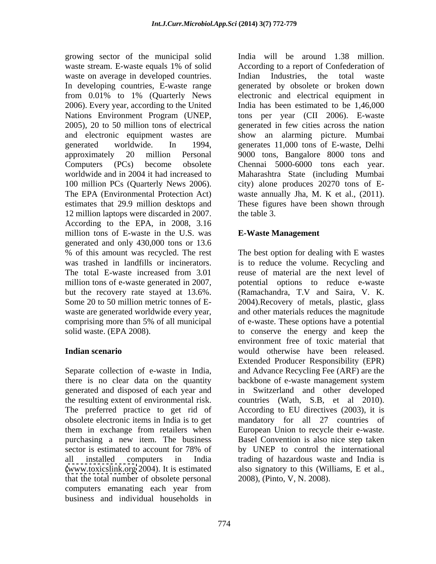growing sector of the municipal solid waste on average in developed countries. Indian Industries, the total waste from 0.01% to 1% (Quarterly News 2006). Every year, according to the United 100 million PCs (Quarterly News 2006). 12 million laptops were discarded in 2007. According to the EPA, in 2008, 3.16 million tons of E-waste in the U.S. was generated and only 430,000 tons or 13.6

there is no clear data on the quantity backbone of e-waste management system The preferred practice to get rid of that the total number of obsolete personal computers emanating each year from business and individual households in

waste stream. E-waste equals 1% of solid According to a report of Confederation of In developing countries, E-waste range generated by obsolete or broken down Nations Environment Program (UNEP, tons per year (CII 2006). E-waste 2005), 20 to 50 million tons of electrical generated in few cities across the nation and electronic equipment wastes are show an alarming picture. Mumbai generated worldwide. In 1994, generates 11,000 tons of E-waste, Delhi approximately 20 million Personal 9000 tons, Bangalore 8000 tons and Computers (PCs) become obsolete Chennai 5000-6000 tons each year. worldwide and in 2004 it had increased to Maharashtra State (including Mumbai The EPA (Environmental Protection Act) waste annually Jha, M. K et al., (2011). estimates that 29.9 million desktops and These figures have been shown through India will be around 1.38 million. Indian Industries, the total waste electronic and electrical equipment in India has been estimated to be 1,46,000 city) alone produces 20270 tons of E the table 3.

# **E-Waste Management**

% of this amount was recycled. The rest The best option for dealing with E wastes was trashed in landfills or incinerators. is to reduce the volume. Recycling and The total E-waste increased from 3.01 reuse of material are the next level of million tons of e-waste generated in 2007, potential options to reduce e-waste but the recovery rate stayed at 13.6%. (Ramachandra, T.V and Saira, V. K. Some 20 to 50 million metric tonnes of E- 2004).Recovery of metals, plastic, glass waste are generated worldwide every year, and other materials reduces the magnitude comprising more than 5% of all municipal of e-waste. These options have a potential solid waste. (EPA 2008). to conserve the energy and keep the **Indian scenario** would otherwise have been released. Separate collection of e-waste in India, and Advance Recycling Fee (ARF) are the generated and disposed of each year and in Switzerland and other developed the resulting extent of environmental risk. countries (Wath, S.B, et al 2010). obsolete electronic items in India is to get mandatory for all 27 countries of them in exchange from retailers when European Union to recycle their e-waste. purchasing a new item. The business Basel Convention is also nice step taken sector is estimated to account for 78% of by UNEP to control the international all installed computers in India trading of hazardous waste and India is [\(www.toxicslink.org](http://www.toxicslink.org) 2004). It is estimated also signatory to this (Williams, E et al., reuse of material are the next level of environment free of toxic material that Extended Producer Responsibility (EPR) backbone of e-waste management system According to EU directives (2003), it is by UNEP to control the international 2008), (Pinto, V, N. 2008).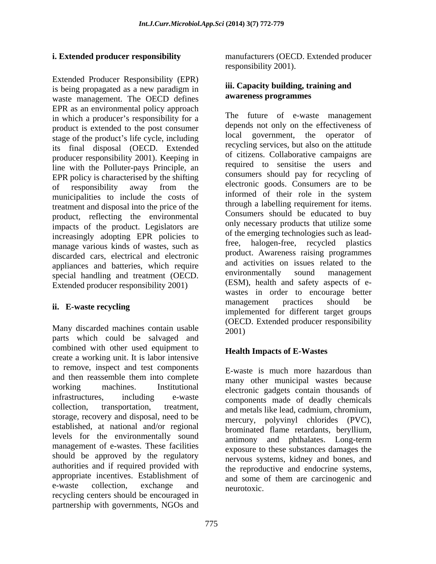Extended Producer Responsibility (EPR) is being propagated as a new paradigm in **III.** Capacity building, training and waste management. The OECD defines EPR as an environmental policy approach in which a producer's responsibility for a product is extended to the post consumer<br>consumer above the product's life and including and sovernment, the operator of stage of the product's life cycle, including its final disposal (OECD. Extended producer responsibility 2001). Keeping in line with the Polluter-pays Principle, an EPR policy is characterised by the shifting of responsibility away from the electronic goods. Consumers are to be municipalities to include the costs of informed of their role in the system treatment and disposal into the price of the product, reflecting the environmental impacts of the product. Legislators are increasingly adopting EPR policies to of the manage various kinds of wester quality of the free. manage various kinds of wastes, such as discarded cars, electrical and electronic appliances and batteries, which require and activities on issues related to the appliances and tractment (OECD environmentally sound management special handling and treatment (OECD. Extended producer responsibility 2001)

Many discarded machines contain usable  $2001$ parts which could be salvaged and combined with other used equipment to create a working unit. It is labor intensive to remove, inspect and test components and then reassemble them into complete many other municipal wastes because working machines. Institutional electronic gadgets contain thousands of infrastructures, including e-waste components made of deadly chemicals collection, transportation, treatment, and metals like lead, cadmium, chromium, storage, recovery and disposal, need to be established, at national and/or regional levels for the environmentally sound management of e-wastes. These facilities should be approved by the regulatory authorities and if required provided with appropriate incentives. Establishment of and some of them are carcinogenic and e-waste collection, exchange and neurotoxic recycling centers should be encouraged in partnership with governments, NGOs and

**i. Extended producer responsibility** manufacturers (OECD. Extended producer responsibility 2001).

## **iii. Capacity building, training and awareness programmes**

**ii.** E-waste recycling **immunity** implemented for different tensor groups The future of e-waste management depends not only on the effectiveness of government, the operator recycling services, but also on the attitude of citizens. Collaborative campaigns are required to sensitise the users and consumers should pay for recycling of electronic goods. Consumers are to be informed of their role in the system through a labelling requirement for items. Consumers should be educated to buy only necessary products that utilize some of the emerging technologies such as leadhalogen-free, recycled plastics product. Awareness raising programmes and activities on issues related to the environmentally sound management (ESM), health and safety aspects of e wastes in order to encourage better management practices should be implemented for different target groups (OECD. Extended producer responsibility 2001)

# **Health Impacts of E-Wastes**

E-waste is much more hazardous than many other municipal wastes because mercury, polyvinyl chlorides (PVC), brominated flame retardants, beryllium, antimony and phthalates. Long-term exposure to these substances damages the nervous systems, kidney and bones, and the reproductive and endocrine systems, and some of them are carcinogenic and neurotoxic.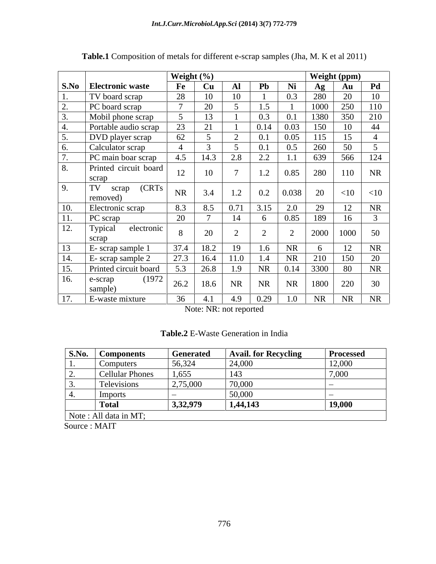| S.No Electronic waste<br>Pd<br>${\bf Al}$<br>Pb<br>Ni<br>$\bf{Fe}$<br>Cu<br>Ag<br>Au<br>28<br>20<br>TV board scrap<br>10<br>0.3<br>280<br>10<br>10<br>PC board scrap<br>20<br>250<br>1000<br>110<br>350<br>1380<br>210<br>Mobil phone scrap<br>13<br>0.1<br>23<br>$\gamma$ 1<br>Portable audio scrap<br>0.14<br>150<br>44<br>0.03<br>DVD player scrap<br>62<br>0.05<br>260<br>50<br>Calculator scrap<br>0.5<br>$2.2\,$<br>124<br>2.8<br>639<br>566<br>PC main boar scrap<br>4.5<br>14.3<br>1.1<br>Printed circuit board<br>8.<br>10<br>$\overline{ }$<br>1.2<br>280<br>12<br>0.85<br>NR<br>110<br>scrap<br>(CRTs<br>TV<br>9.<br>scrap<br>1.2<br><b>NR</b><br>$0.2\,$<br> 0.038 <br>20<br>$<$ 10<br>3.4<br>$<$ 10<br>removed)<br>Electronic scrap<br>8.3<br><b>NR</b><br>0.71<br>29<br>$\underline{10}$ .<br>3.15<br>2.0<br>8.5<br>20<br>11.<br>PC scrap<br>14<br>0.85<br>189<br>12.<br>Typical<br>electronic<br>20<br>2000<br>1000<br>50<br>scrap<br>13<br>19<br><b>NR</b><br><b>NR</b><br>E- scrap sample 1<br>37.4<br>18.2<br>1.6<br><b>6</b><br>27.3<br><b>NR</b><br>14.<br>$E-$ scrap sample 2<br>11.0<br>150<br><u>20</u><br>210<br>16.4<br>1.4<br>3300<br><b>NR</b><br>15.<br>5.3<br>26.8<br>1.9<br>NR<br>80<br>Printed circuit board<br>0.14<br>(1972)<br>16.<br>e-scrap<br><b>NR</b><br>26.2<br>18.6<br>NR<br>NR<br>1800<br>220<br>30<br>sample)<br>E-waste mixture<br>4.9 |                   | Weight (%) |     |      |     | Weight (ppm) |           |           |
|------------------------------------------------------------------------------------------------------------------------------------------------------------------------------------------------------------------------------------------------------------------------------------------------------------------------------------------------------------------------------------------------------------------------------------------------------------------------------------------------------------------------------------------------------------------------------------------------------------------------------------------------------------------------------------------------------------------------------------------------------------------------------------------------------------------------------------------------------------------------------------------------------------------------------------------------------------------------------------------------------------------------------------------------------------------------------------------------------------------------------------------------------------------------------------------------------------------------------------------------------------------------------------------------------------------------------------------------------------------------------------|-------------------|------------|-----|------|-----|--------------|-----------|-----------|
|                                                                                                                                                                                                                                                                                                                                                                                                                                                                                                                                                                                                                                                                                                                                                                                                                                                                                                                                                                                                                                                                                                                                                                                                                                                                                                                                                                                    |                   |            |     |      |     |              |           |           |
|                                                                                                                                                                                                                                                                                                                                                                                                                                                                                                                                                                                                                                                                                                                                                                                                                                                                                                                                                                                                                                                                                                                                                                                                                                                                                                                                                                                    |                   |            |     |      |     |              |           |           |
|                                                                                                                                                                                                                                                                                                                                                                                                                                                                                                                                                                                                                                                                                                                                                                                                                                                                                                                                                                                                                                                                                                                                                                                                                                                                                                                                                                                    |                   |            |     |      |     |              |           |           |
|                                                                                                                                                                                                                                                                                                                                                                                                                                                                                                                                                                                                                                                                                                                                                                                                                                                                                                                                                                                                                                                                                                                                                                                                                                                                                                                                                                                    |                   |            |     |      |     |              |           |           |
|                                                                                                                                                                                                                                                                                                                                                                                                                                                                                                                                                                                                                                                                                                                                                                                                                                                                                                                                                                                                                                                                                                                                                                                                                                                                                                                                                                                    |                   |            |     |      |     |              |           |           |
|                                                                                                                                                                                                                                                                                                                                                                                                                                                                                                                                                                                                                                                                                                                                                                                                                                                                                                                                                                                                                                                                                                                                                                                                                                                                                                                                                                                    |                   |            |     |      |     |              |           |           |
|                                                                                                                                                                                                                                                                                                                                                                                                                                                                                                                                                                                                                                                                                                                                                                                                                                                                                                                                                                                                                                                                                                                                                                                                                                                                                                                                                                                    |                   |            |     |      |     |              |           |           |
|                                                                                                                                                                                                                                                                                                                                                                                                                                                                                                                                                                                                                                                                                                                                                                                                                                                                                                                                                                                                                                                                                                                                                                                                                                                                                                                                                                                    |                   |            |     |      |     |              |           |           |
|                                                                                                                                                                                                                                                                                                                                                                                                                                                                                                                                                                                                                                                                                                                                                                                                                                                                                                                                                                                                                                                                                                                                                                                                                                                                                                                                                                                    |                   |            |     |      |     |              |           |           |
|                                                                                                                                                                                                                                                                                                                                                                                                                                                                                                                                                                                                                                                                                                                                                                                                                                                                                                                                                                                                                                                                                                                                                                                                                                                                                                                                                                                    |                   |            |     |      |     |              |           |           |
|                                                                                                                                                                                                                                                                                                                                                                                                                                                                                                                                                                                                                                                                                                                                                                                                                                                                                                                                                                                                                                                                                                                                                                                                                                                                                                                                                                                    |                   |            |     |      |     |              |           |           |
|                                                                                                                                                                                                                                                                                                                                                                                                                                                                                                                                                                                                                                                                                                                                                                                                                                                                                                                                                                                                                                                                                                                                                                                                                                                                                                                                                                                    |                   |            |     |      |     |              |           |           |
|                                                                                                                                                                                                                                                                                                                                                                                                                                                                                                                                                                                                                                                                                                                                                                                                                                                                                                                                                                                                                                                                                                                                                                                                                                                                                                                                                                                    |                   |            |     |      |     |              |           |           |
|                                                                                                                                                                                                                                                                                                                                                                                                                                                                                                                                                                                                                                                                                                                                                                                                                                                                                                                                                                                                                                                                                                                                                                                                                                                                                                                                                                                    |                   |            |     |      |     |              |           |           |
|                                                                                                                                                                                                                                                                                                                                                                                                                                                                                                                                                                                                                                                                                                                                                                                                                                                                                                                                                                                                                                                                                                                                                                                                                                                                                                                                                                                    |                   |            |     |      |     |              |           |           |
|                                                                                                                                                                                                                                                                                                                                                                                                                                                                                                                                                                                                                                                                                                                                                                                                                                                                                                                                                                                                                                                                                                                                                                                                                                                                                                                                                                                    |                   |            |     |      |     |              |           |           |
|                                                                                                                                                                                                                                                                                                                                                                                                                                                                                                                                                                                                                                                                                                                                                                                                                                                                                                                                                                                                                                                                                                                                                                                                                                                                                                                                                                                    |                   |            |     |      |     |              |           |           |
|                                                                                                                                                                                                                                                                                                                                                                                                                                                                                                                                                                                                                                                                                                                                                                                                                                                                                                                                                                                                                                                                                                                                                                                                                                                                                                                                                                                    |                   |            |     |      |     |              |           |           |
|                                                                                                                                                                                                                                                                                                                                                                                                                                                                                                                                                                                                                                                                                                                                                                                                                                                                                                                                                                                                                                                                                                                                                                                                                                                                                                                                                                                    |                   |            |     |      |     |              |           |           |
|                                                                                                                                                                                                                                                                                                                                                                                                                                                                                                                                                                                                                                                                                                                                                                                                                                                                                                                                                                                                                                                                                                                                                                                                                                                                                                                                                                                    |                   |            |     |      |     |              |           |           |
|                                                                                                                                                                                                                                                                                                                                                                                                                                                                                                                                                                                                                                                                                                                                                                                                                                                                                                                                                                                                                                                                                                                                                                                                                                                                                                                                                                                    |                   |            |     |      |     |              |           |           |
|                                                                                                                                                                                                                                                                                                                                                                                                                                                                                                                                                                                                                                                                                                                                                                                                                                                                                                                                                                                                                                                                                                                                                                                                                                                                                                                                                                                    | $\overline{17}$ . | 36         | 4.1 | 0.29 | 1.0 | NR           | <b>NR</b> | <b>NR</b> |

**Table.1** Composition of metals for different e-scrap samples (Jha, M. K et al 2011)

Note: NR: not reported

| Table.2 E-Waste Generation in India |  |  |
|-------------------------------------|--|--|
|-------------------------------------|--|--|

| S.No.             | <b>Components</b>      | <b>Generated</b> | <b>Avail. for Recycling</b> | Processed |
|-------------------|------------------------|------------------|-----------------------------|-----------|
| $\blacksquare$    | Computers              | 56,324           | 24,000                      | 12,000    |
| <u>L</u> .        | <b>Cellular Phones</b> | 1,655            | 143                         | 7,000     |
| . ب               | Televisions            | 2,75,000         | 70,000                      |           |
| $\overline{1}$ +. | Imports                |                  | 50,000                      |           |
|                   | Total                  | 3,32,979         | 1,44,143                    | 19,000    |
|                   | Note: All data in MT;  |                  |                             |           |

Source : MAIT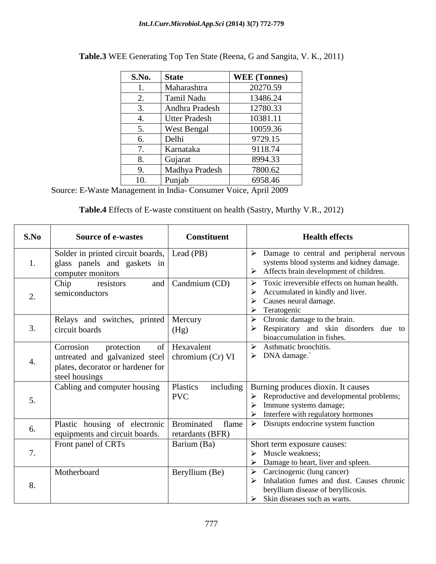| <b>S.No.</b> | <b>State</b>         | <b>WEE</b> (Tonnes) |
|--------------|----------------------|---------------------|
|              | Maharashtra          | 20270.59            |
| <u>.</u>     | Tamil Nadu           | 13486.24            |
| ັ            | Andhra Pradesh       | 12780.33            |
|              | <b>Utter Pradesh</b> | 10381.11            |
| ັ            | West Bengal          | 10059.36            |
| $\sigma$ .   | Delhi                | 9729.15             |
|              | Karnataka            | 9118.74             |
| $\circ$ .    | Gujarat              | 8994.33             |
| ്ധ<br>╯      | Madhya Pradesh       | 7800.62             |
| 1U.          | Punjab               | 6958.46             |

| <b>Table.3 WEE Generating</b><br>. K., 2011`<br>g Top Ten State (Reena, G and Sangita,<br>$\mathbf{V}$ $\mathbf{V}$ |  |
|---------------------------------------------------------------------------------------------------------------------|--|
|---------------------------------------------------------------------------------------------------------------------|--|

Source: E-Waste Management in India- Consumer Voice, April 2009

| <b>Table.4</b> Effects of E-waste constituent on health (Sastry, Murthy V.R., 2012) |  |  |  |  |  |  |
|-------------------------------------------------------------------------------------|--|--|--|--|--|--|
|-------------------------------------------------------------------------------------|--|--|--|--|--|--|

| S.No | <b>Source of e-wastes</b>                                                                                                                 | <b>Constituent</b>        | <b>Health effects</b>                                                                                                                                                                                         |
|------|-------------------------------------------------------------------------------------------------------------------------------------------|---------------------------|---------------------------------------------------------------------------------------------------------------------------------------------------------------------------------------------------------------|
|      | Solder in printed circuit boards, Lead (PB)<br>glass panels and gaskets in<br>computer monitors                                           |                           | $\triangleright$ Damage to central and peripheral nervous<br>systems blood systems and kidney damage.<br>$\triangleright$ Affects brain development of children.                                              |
|      | Chip<br>resistors<br>semiconductors                                                                                                       | and $\vert$ Candmium (CD) | $\triangleright$ Toxic irreversible effects on human health.<br>$\triangleright$ Accumulated in kindly and liver.<br>$\triangleright$ Causes neural damage.<br>$\triangleright$ Teratogenic                   |
| 3.   | Relays and switches, printed Mercury<br>circuit boards                                                                                    | (Hg)                      | $\triangleright$ Chronic damage to the brain.<br>$\triangleright$ Respiratory and skin disorders due to<br>bioaccumulation in fishes.                                                                         |
| 4.   | Corrosion<br>protection<br>untreated and galvanized steel $\vert$ chromium (Cr) VI<br>plates, decorator or hardener for<br>steel housings | of Hexavalent             | $\triangleright$ Asthmatic bronchitis.<br>$\triangleright$ DNA damage.                                                                                                                                        |
|      | Cabling and computer housing                                                                                                              | Plastics<br><b>PVC</b>    | including   Burning produces dioxin. It causes<br>$\triangleright$ Reproductive and developmental problems;<br>$\triangleright$ Immune systems damage;<br>$\triangleright$ Interfere with regulatory hormones |
| 6.   | Plastic housing of electronic Brominated<br>equipments and circuit boards.                                                                | flame<br>retardants (BFR) | $\triangleright$ Disrupts endocrine system function                                                                                                                                                           |
|      | Front panel of CRTs                                                                                                                       | Barium (Ba)               | Short term exposure causes:<br>$\triangleright$ Muscle weakness:<br>$\triangleright$ Damage to heart, liver and spleen.                                                                                       |
| 8.   | Motherboard                                                                                                                               | Beryllium (Be)            | $\triangleright$ Carcinogenic (lung cancer)<br>$\triangleright$ Inhalation fumes and dust. Causes chronic<br>beryllium disease of beryllicosis.<br>$\triangleright$ Skin diseases such as warts.              |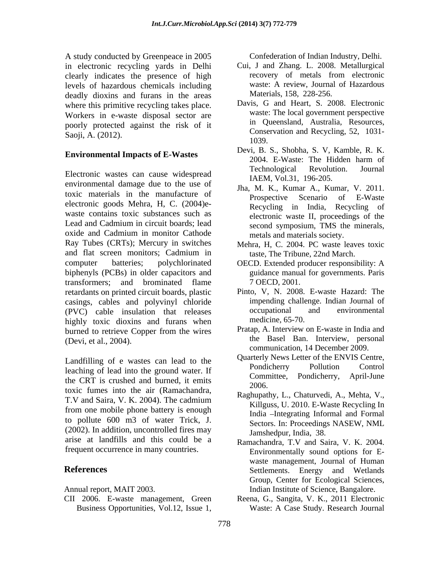A study conducted by Greenpeace in 2005 in electronic recycling yards in Delhi<br>
clearly indicates the presence of high<br>
clearly indicates the presence of high<br>
clearly indicates the presence of high<br>
clearly indicates the presence of high<br>
clearly indicates the clearly indicates the presence of high levels of hazardous chemicals including deadly dioxins and furans in the areas where this primitive recycling takes place. Workers in e-waste disposal sector are poorly protected against the risk of it Saoji, A. (2012). Conservation and Recycling, 52, 1031-

environmental damage due to the use of toxic materials in the manufacture of **E-Wasset Channel Prospective** Scenario of E-Waste electronic goods Mehra, H, C. (2004)e waste contains toxic substances such as Lead and Cadmium in circuit boards; lead second symposium. TMS the minerals. oxide and Cadmium in monitor Cathode Ray Tubes (CRTs); Mercury in switches and flat screen monitors; Cadmium in computer batteries; polychlorinated OECD. Extended producer responsibility: A biphenyls (PCBs) in older capacitors and transformers; and brominated flame 7 OECD, 2001. retardants on printed circuit boards, plastic casings, cables and polyvinyl chloride impending challenge. Indian Journal of<br>
(PVC) cable insulation that releases occupational and environmental (PVC) cable insulation that releases highly toxic dioxins and furans when burned to retrieve Copper from the wires (Devi, et al., 2004). the Basel Ban. Interview, personal the Basel Ban. Interview, personal Coloridae in the control of Distance in the angle of the control of the search of Distance of the positive of the positive of the positive of the positive of the positive of the positive of the control of the control of th

Landfilling of e wastes can lead to the vertex vertex pondicherry News Letter of the ENVIS Centre,<br>Pondicherry Pollution Control leaching of lead into the ground water. If<br>the GPT is analyzed and human it emits the committee, Pondicherry, April-June the CRT is crushed and burned, it emits  $\frac{\text{60mm}}{2006}$ toxic fumes into the air (Ramachandra, T.V and Saira, V. K. 2004). The cadmium<br> $\frac{1}{2}$   $\frac{1}{2}$   $\frac{1}{2}$   $\frac{1}{2}$   $\frac{1}{2}$   $\frac{1}{2}$   $\frac{1}{2}$   $\frac{1}{2}$   $\frac{1}{2}$   $\frac{1}{2}$   $\frac{1}{2}$   $\frac{1}{2}$   $\frac{1}{2}$   $\frac{1}{2}$   $\frac{1}{2}$   $\frac{1}{2}$   $\frac{1}{2}$   $\frac{1}{2}$  from one mobile phone battery is enough to pollute 600 m3 of water Trick, J. (2002). In addition, uncontrolled fires may arise at landfills and this could be a frequent occurrence in many countries.

CII 2006. E-waste management, Green Reena, G., Sangita, V. K., 2011 Electronic

- Cui, J and Zhang. L. 2008. Metallurgical recovery of metals from electronic waste: A review, Journal of Hazardous Materials, 158, 228-256.
- Davis, G and Heart, S. 2008. Electronic waste: The local government perspective in Queensland, Australia, Resources, 1039.
- **Environmental Impacts of E-Wastes** Levi, B. S., Shoona, S. V, Kannole, K. K. Levi, B. S., Shoona, S. V, Kannole, K. K. Electronic wastes can cause widespread<br>
Electronic wastes can cause widespread<br>
ELECTA V 1.21, 1.26, 205 Devi, B. S., Shobha, S. V, Kamble, R. K. 2004. E-Waste: The Hidden harm of Technological Revolution. Journal IAEM, Vol.31, 196-205.
	- Jha, M. K., Kumar A., Kumar, V. 2011. Prospective Scenario of E-Waste Recycling in India, Recycling of electronic waste II, proceedings of the second symposium, TMS the minerals, metals and materials society.
	- Mehra, H, C. 2004. PC waste leaves toxic taste, The Tribune, 22nd March.
	- guidance manual for governments. Paris 7 OECD, 2001.
	- Pinto, V, N. 2008. E-waste Hazard: The impending challenge. Indian Journal of occupational and environmental medicine, 65-70.
	- Pratap, A. Interview on E-waste in India and communication, 14 December 2009.
	- Quarterly News Letter of the ENVIS Centre, Pondicherry Pollution Control Committee, Pondicherry, April-June 2006.
	- Raghupathy, L., Chaturvedi, A., Mehta, V., Killguss, U. 2010. E-Waste Recycling In India -Integrating Informal and Formal Sectors. In: Proceedings NASEW, NML Jamshedpur, India, 38.
- **References** Settlements. Energy and Wetlands Annual report, MAIT 2003. Indian Institute of Science, Bangalore. Ramachandra, T.V and Saira, V. K. 2004. Environmentally sound options for E waste management, Journal of Human Group, Center for Ecological Sciences,
	- Waste: A Case Study. Research Journal